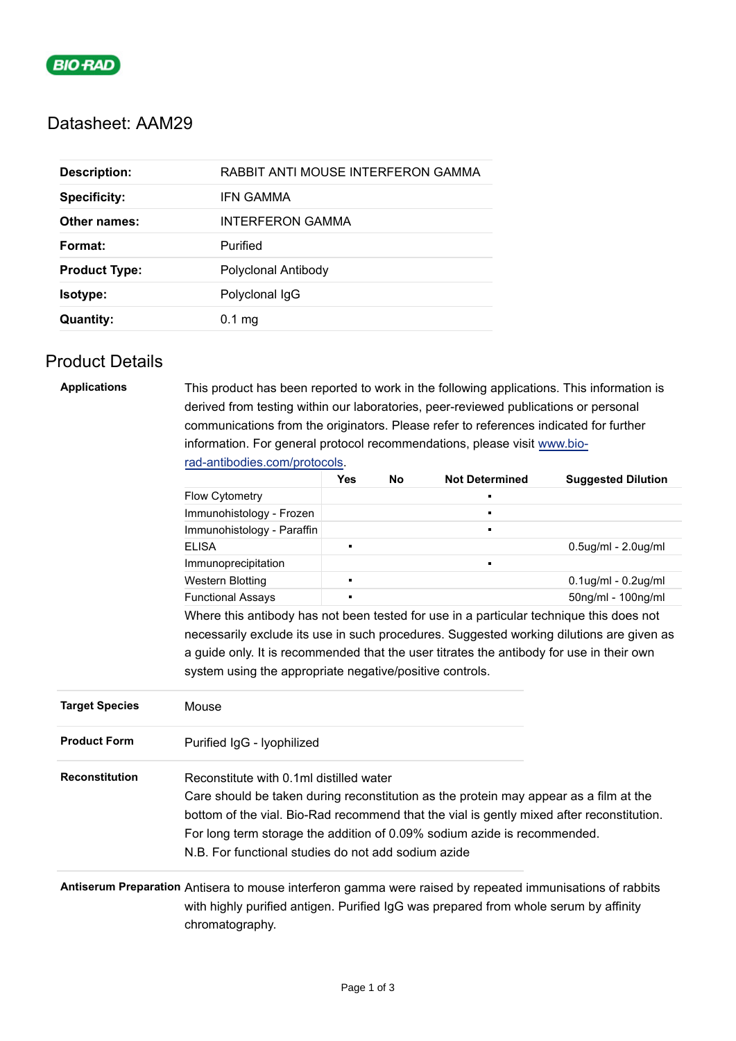

### Datasheet: AAM29

| <b>Specificity:</b><br>IFN GAMMA<br>INTERFERON GAMMA<br>Other names:<br>Purified<br>Format:<br>Polyclonal Antibody<br><b>Product Type:</b><br>Polyclonal IgG<br><b>Isotype:</b><br><b>Quantity:</b><br>$0.1$ mg | <b>Description:</b> | RABBIT ANTI MOUSE INTERFERON GAMMA |
|-----------------------------------------------------------------------------------------------------------------------------------------------------------------------------------------------------------------|---------------------|------------------------------------|
|                                                                                                                                                                                                                 |                     |                                    |
|                                                                                                                                                                                                                 |                     |                                    |
|                                                                                                                                                                                                                 |                     |                                    |
|                                                                                                                                                                                                                 |                     |                                    |
|                                                                                                                                                                                                                 |                     |                                    |
|                                                                                                                                                                                                                 |                     |                                    |

### Product Details

| <b>Applications</b>   | This product has been reported to work in the following applications. This information is<br>derived from testing within our laboratories, peer-reviewed publications or personal<br>communications from the originators. Please refer to references indicated for further<br>information. For general protocol recommendations, please visit www.bio-           |                |           |                       |                           |  |
|-----------------------|------------------------------------------------------------------------------------------------------------------------------------------------------------------------------------------------------------------------------------------------------------------------------------------------------------------------------------------------------------------|----------------|-----------|-----------------------|---------------------------|--|
|                       | rad-antibodies.com/protocols.                                                                                                                                                                                                                                                                                                                                    | <b>Yes</b>     | <b>No</b> | <b>Not Determined</b> |                           |  |
|                       | <b>Flow Cytometry</b>                                                                                                                                                                                                                                                                                                                                            |                |           |                       | <b>Suggested Dilution</b> |  |
|                       | Immunohistology - Frozen                                                                                                                                                                                                                                                                                                                                         |                |           | $\blacksquare$        |                           |  |
|                       | Immunohistology - Paraffin                                                                                                                                                                                                                                                                                                                                       |                |           | $\blacksquare$        |                           |  |
|                       | <b>ELISA</b>                                                                                                                                                                                                                                                                                                                                                     | o,             |           |                       | 0.5ug/ml - 2.0ug/ml       |  |
|                       | Immunoprecipitation                                                                                                                                                                                                                                                                                                                                              |                |           | $\blacksquare$        |                           |  |
|                       | Western Blotting                                                                                                                                                                                                                                                                                                                                                 | $\blacksquare$ |           |                       | 0.1ug/ml - 0.2ug/ml       |  |
|                       | <b>Functional Assays</b>                                                                                                                                                                                                                                                                                                                                         | $\blacksquare$ |           |                       | 50ng/ml - 100ng/ml        |  |
|                       | Where this antibody has not been tested for use in a particular technique this does not                                                                                                                                                                                                                                                                          |                |           |                       |                           |  |
|                       | necessarily exclude its use in such procedures. Suggested working dilutions are given as                                                                                                                                                                                                                                                                         |                |           |                       |                           |  |
|                       | a guide only. It is recommended that the user titrates the antibody for use in their own                                                                                                                                                                                                                                                                         |                |           |                       |                           |  |
|                       | system using the appropriate negative/positive controls.                                                                                                                                                                                                                                                                                                         |                |           |                       |                           |  |
| <b>Target Species</b> | Mouse                                                                                                                                                                                                                                                                                                                                                            |                |           |                       |                           |  |
| <b>Product Form</b>   | Purified IgG - Iyophilized                                                                                                                                                                                                                                                                                                                                       |                |           |                       |                           |  |
| <b>Reconstitution</b> | Reconstitute with 0.1ml distilled water<br>Care should be taken during reconstitution as the protein may appear as a film at the<br>bottom of the vial. Bio-Rad recommend that the vial is gently mixed after reconstitution.<br>For long term storage the addition of 0.09% sodium azide is recommended.<br>N.B. For functional studies do not add sodium azide |                |           |                       |                           |  |
|                       |                                                                                                                                                                                                                                                                                                                                                                  |                |           |                       |                           |  |

**Antiserum Preparation** Antisera to mouse interferon gamma were raised by repeated immunisations of rabbits with highly purified antigen. Purified IgG was prepared from whole serum by affinity chromatography.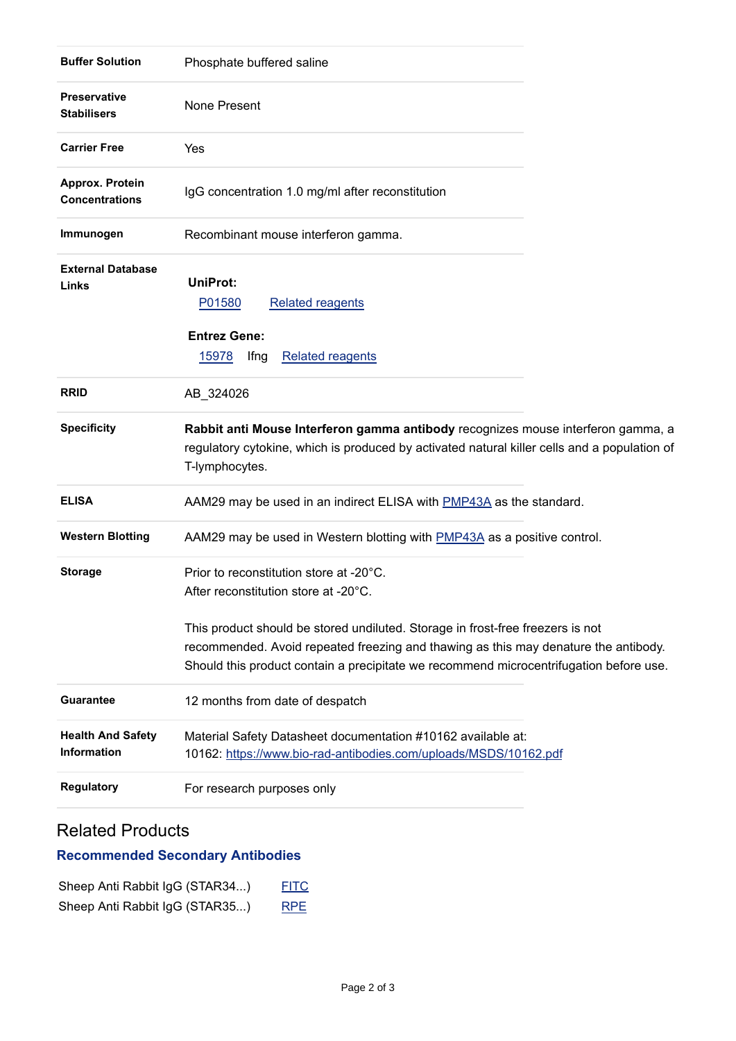| <b>Buffer Solution</b>                    | Phosphate buffered saline                                                                                                                                                                                                                                       |  |
|-------------------------------------------|-----------------------------------------------------------------------------------------------------------------------------------------------------------------------------------------------------------------------------------------------------------------|--|
| <b>Preservative</b><br><b>Stabilisers</b> | None Present                                                                                                                                                                                                                                                    |  |
| <b>Carrier Free</b>                       | Yes                                                                                                                                                                                                                                                             |  |
| Approx. Protein<br><b>Concentrations</b>  | IgG concentration 1.0 mg/ml after reconstitution                                                                                                                                                                                                                |  |
| Immunogen                                 | Recombinant mouse interferon gamma.                                                                                                                                                                                                                             |  |
| <b>External Database</b><br>Links         | <b>UniProt:</b><br>P01580<br><b>Related reagents</b><br><b>Entrez Gene:</b><br>15978<br><b>Related reagents</b><br>Ifng                                                                                                                                         |  |
| <b>RRID</b>                               | AB_324026                                                                                                                                                                                                                                                       |  |
| <b>Specificity</b>                        | Rabbit anti Mouse Interferon gamma antibody recognizes mouse interferon gamma, a<br>regulatory cytokine, which is produced by activated natural killer cells and a population of<br>T-lymphocytes.                                                              |  |
| <b>ELISA</b>                              | AAM29 may be used in an indirect ELISA with PMP43A as the standard.                                                                                                                                                                                             |  |
| <b>Western Blotting</b>                   | AAM29 may be used in Western blotting with PMP43A as a positive control.                                                                                                                                                                                        |  |
| <b>Storage</b>                            | Prior to reconstitution store at -20°C.<br>After reconstitution store at -20°C.                                                                                                                                                                                 |  |
|                                           | This product should be stored undiluted. Storage in frost-free freezers is not<br>recommended. Avoid repeated freezing and thawing as this may denature the antibody.<br>Should this product contain a precipitate we recommend microcentrifugation before use. |  |
| <b>Guarantee</b>                          | 12 months from date of despatch                                                                                                                                                                                                                                 |  |
| <b>Health And Safety</b><br>Information   | Material Safety Datasheet documentation #10162 available at:<br>10162: https://www.bio-rad-antibodies.com/uploads/MSDS/10162.pdf                                                                                                                                |  |
| <b>Regulatory</b>                         | For research purposes only                                                                                                                                                                                                                                      |  |

## Related Products

# **Recommended Secondary Antibodies**

| Sheep Anti Rabbit IgG (STAR34) | <b>FITC</b> |
|--------------------------------|-------------|
| Sheep Anti Rabbit IgG (STAR35) | <b>RPE</b>  |